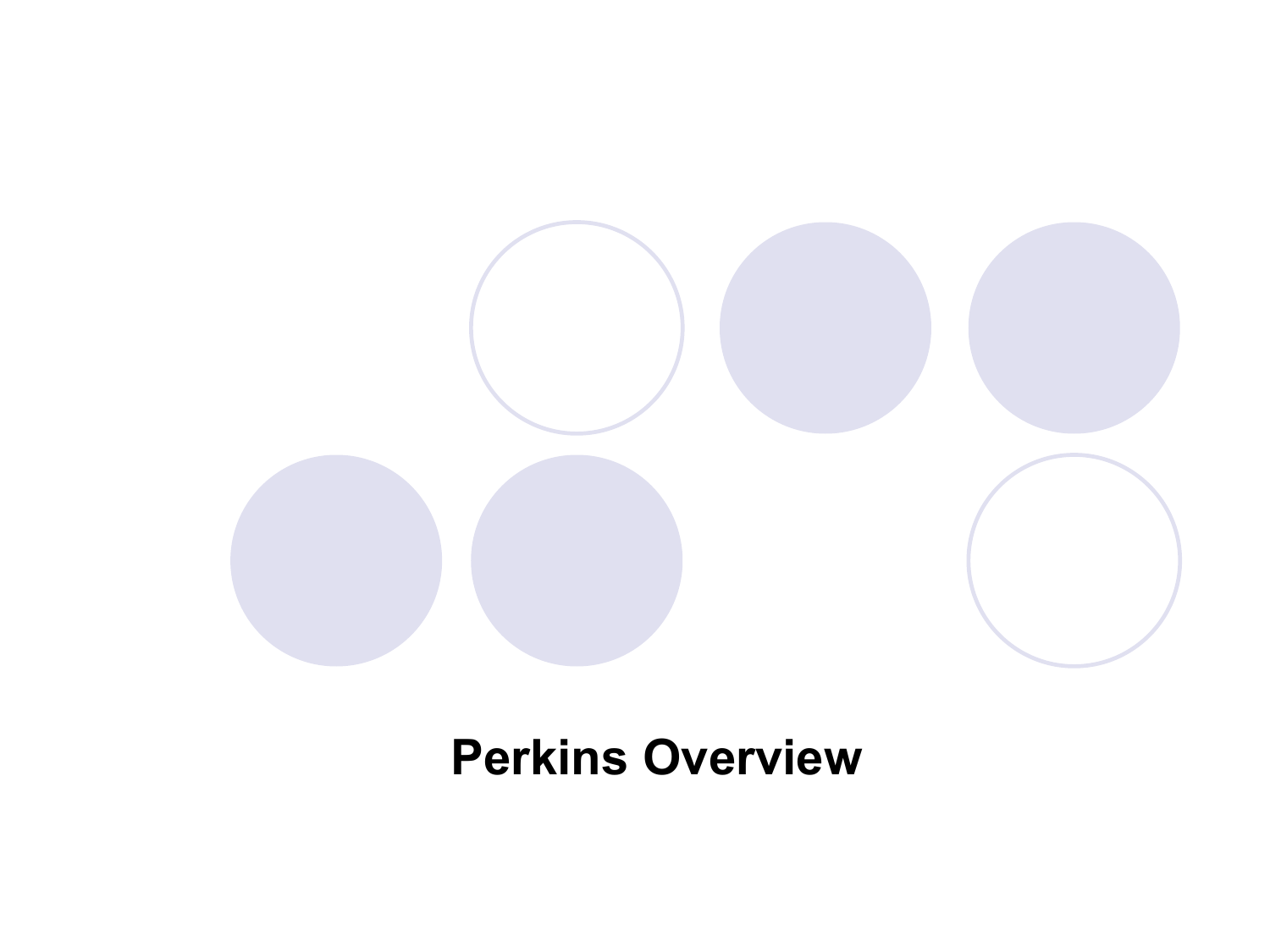

#### **Perkins Overview**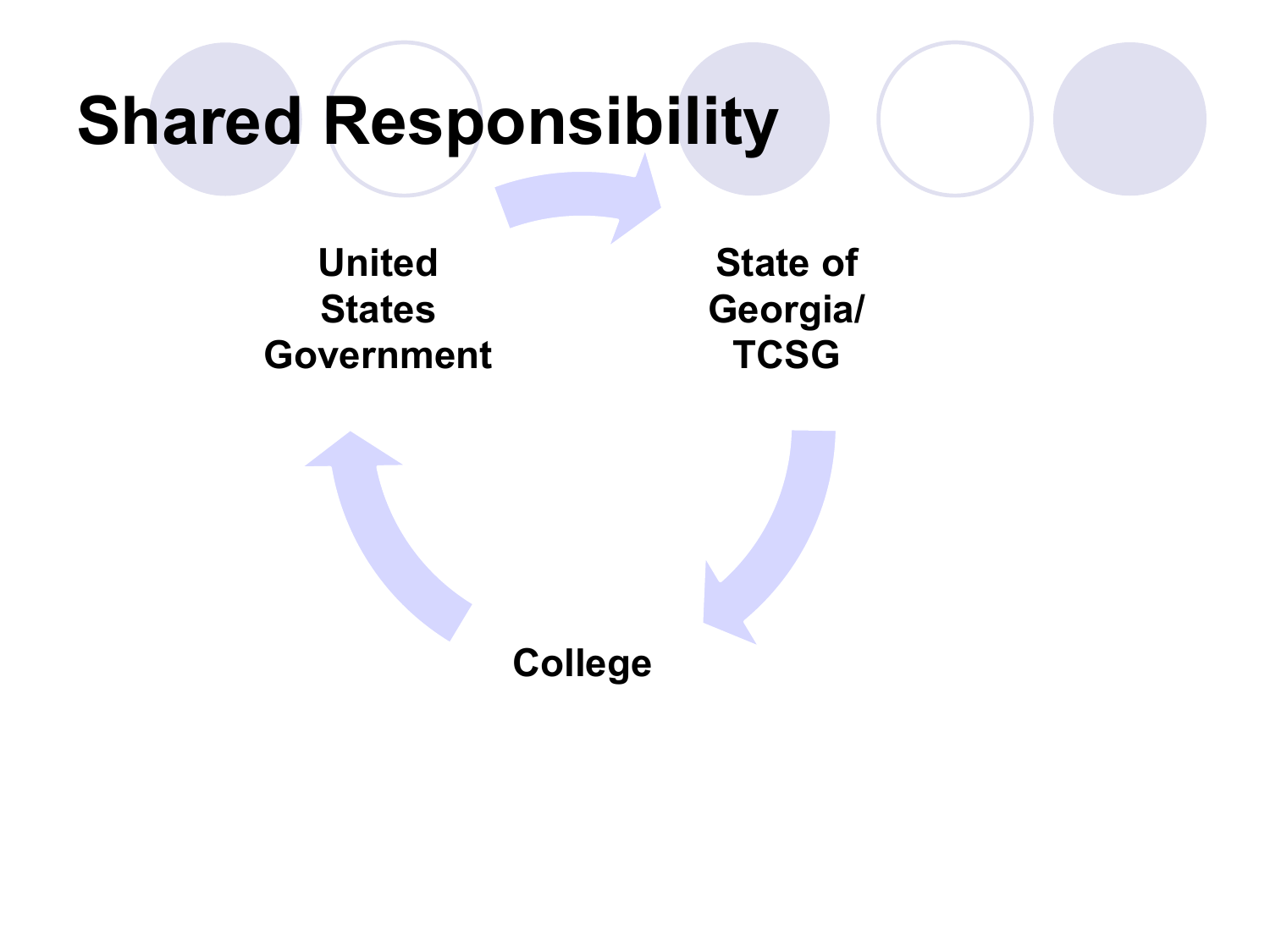## **Shared Responsibility**

**United States Government** 

**State of Georgia/ TCSG** 

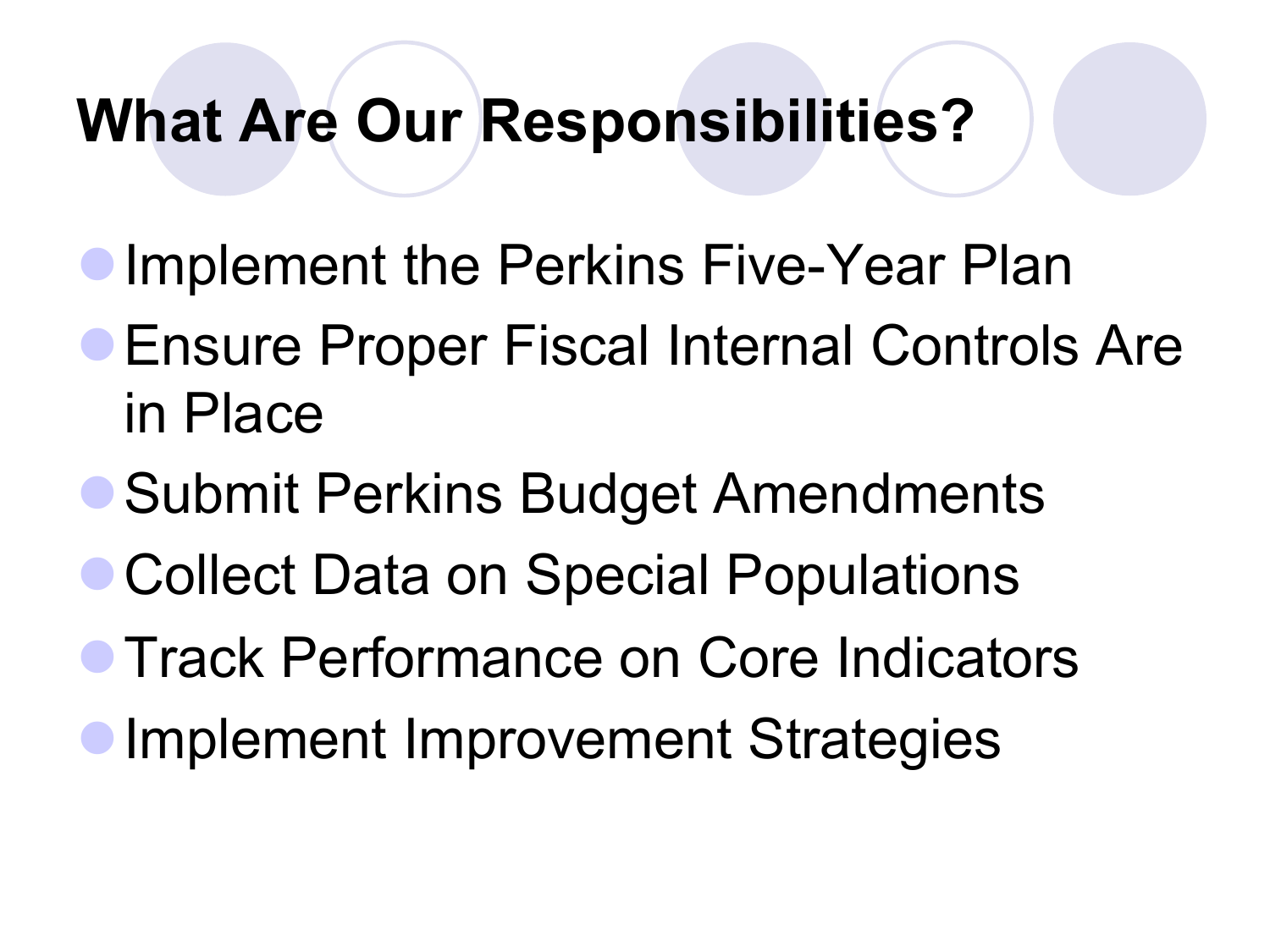#### **What Are Our Responsibilities?**

- **Implement the Perkins Five-Year Plan**
- **Ensure Proper Fiscal Internal Controls Are** in Place
- Submit Perkins Budget Amendments
- Collect Data on Special Populations
- **Track Performance on Core Indicators**
- Implement Improvement Strategies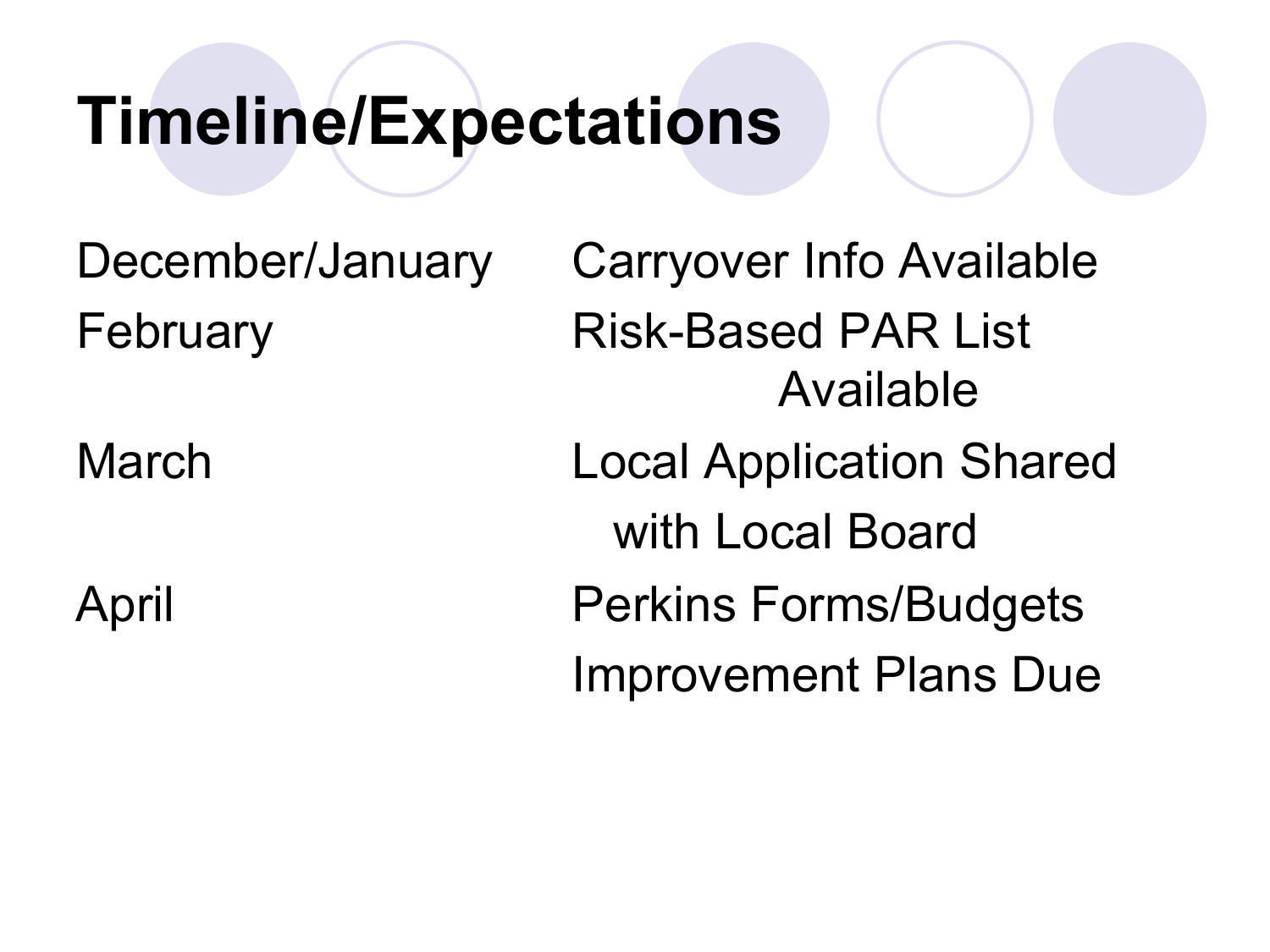# **Timeline/Expectations**

December/January Carryover Info Available February Risk-Based PAR List Available March **Local Application Shared**  with Local Board April Perkins Forms/Budgets Improvement Plans Due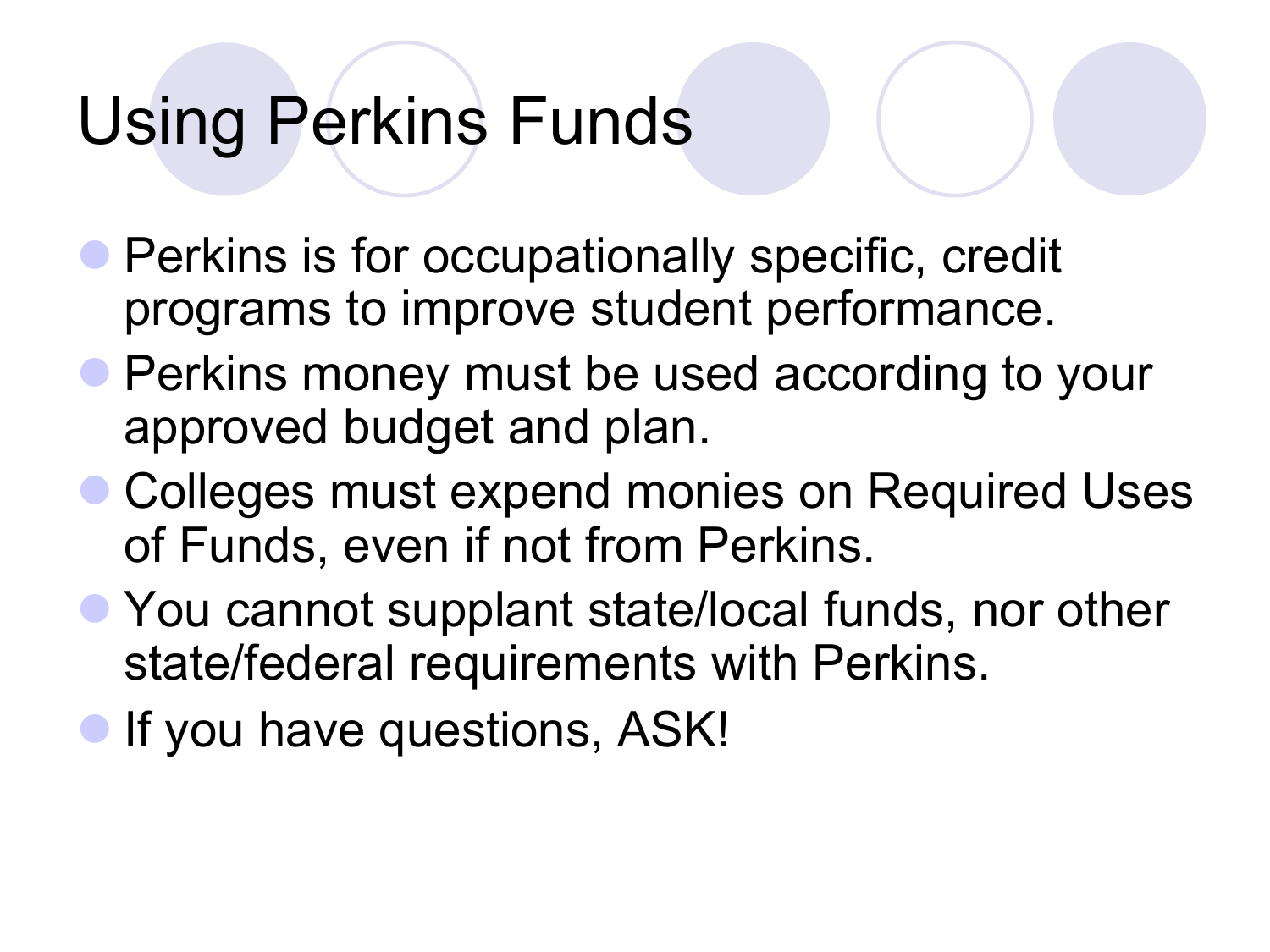## Using Perkins Funds

- **Perkins is for occupationally specific, credit** programs to improve student performance.
- **Perkins money must be used according to your** approved budget and plan.
- **Colleges must expend monies on Required Uses** of Funds, even if not from Perkins.
- **You cannot supplant state/local funds, nor other** state/federal requirements with Perkins.
- **If you have questions, ASK!**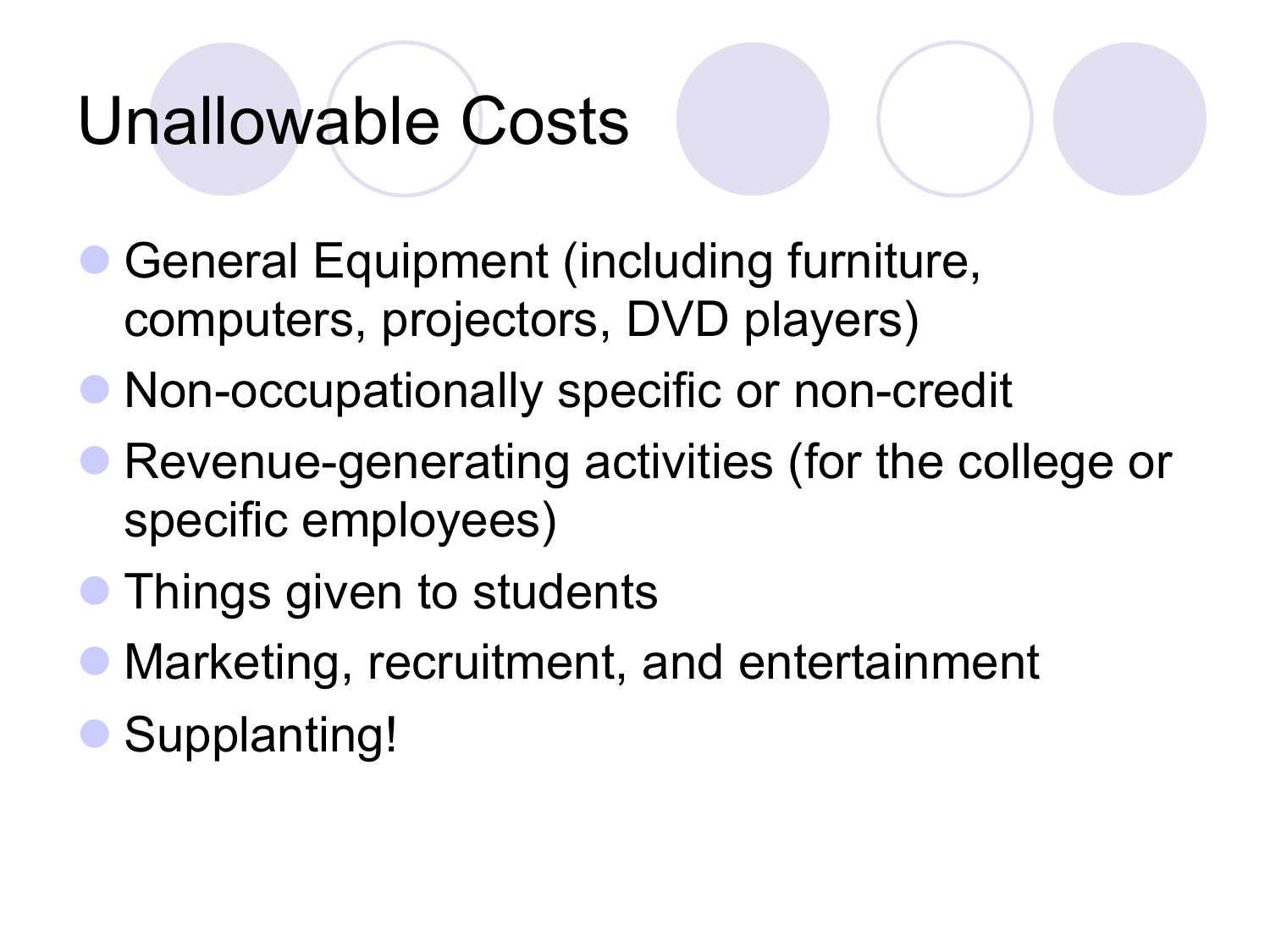## Unallowable Costs

- General Equipment (including furniture, computers, projectors, DVD players)
- Non-occupationally specific or non-credit
- Revenue-generating activities (for the college or specific employees)
- Things given to students
- Marketing, recruitment, and entertainment
- Supplanting!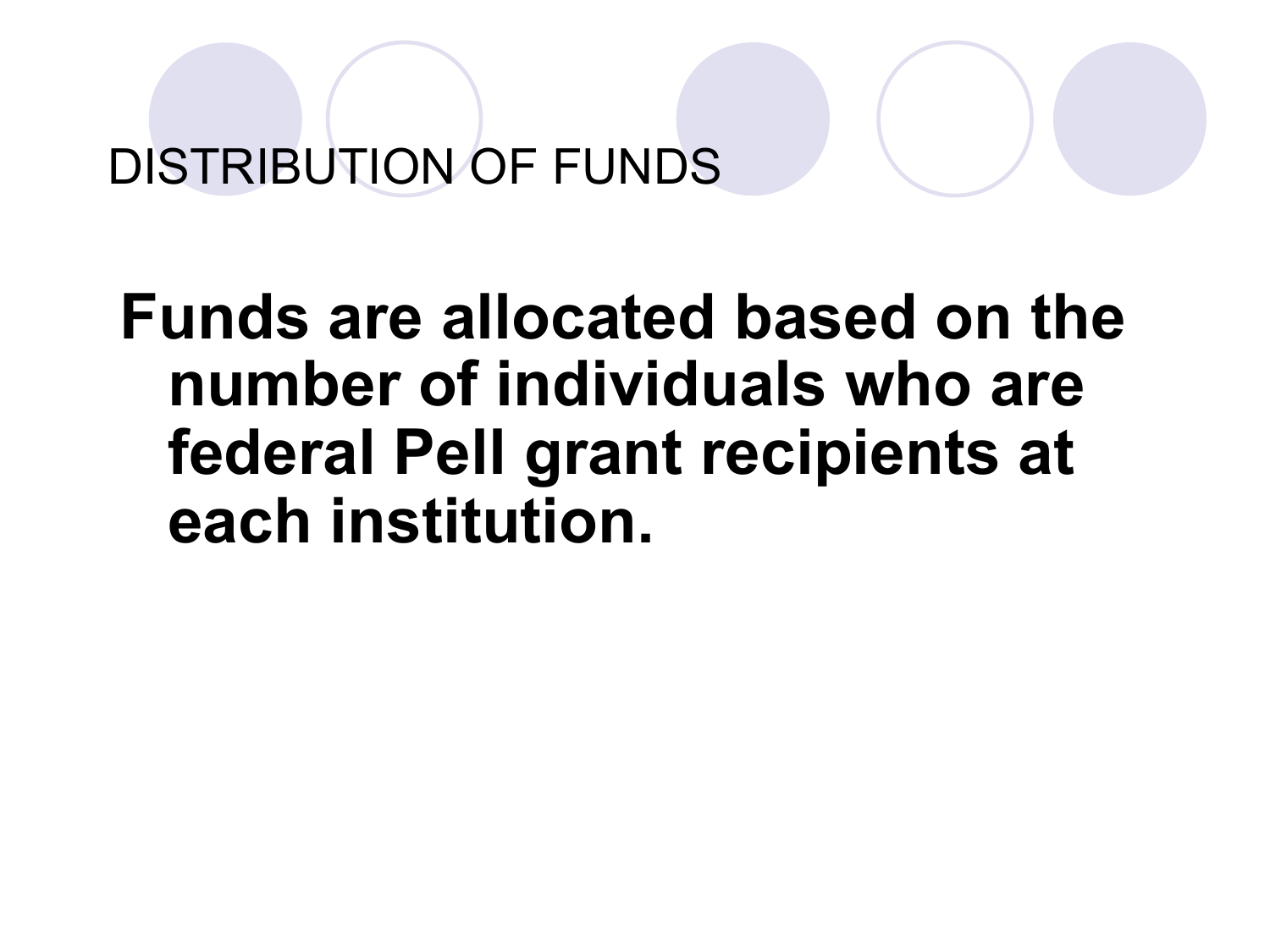#### DISTRIBUTION OF FUNDS

**Funds are allocated based on the number of individuals who are federal Pell grant recipients at each institution.**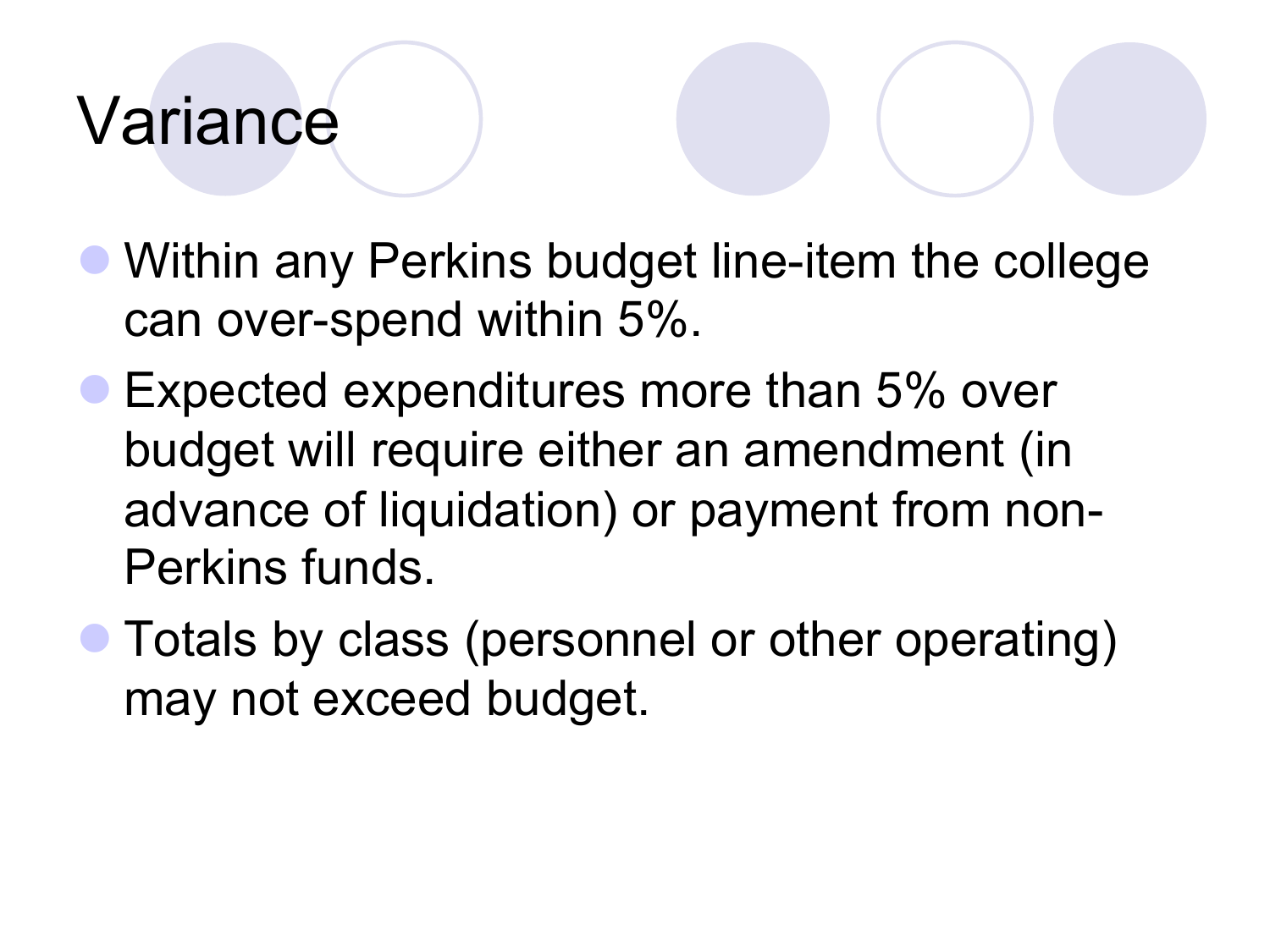## Variance

- Within any Perkins budget line-item the college can over-spend within 5%.
- Expected expenditures more than 5% over budget will require either an amendment (in advance of liquidation) or payment from non-Perkins funds.
- **Totals by class (personnel or other operating)** may not exceed budget.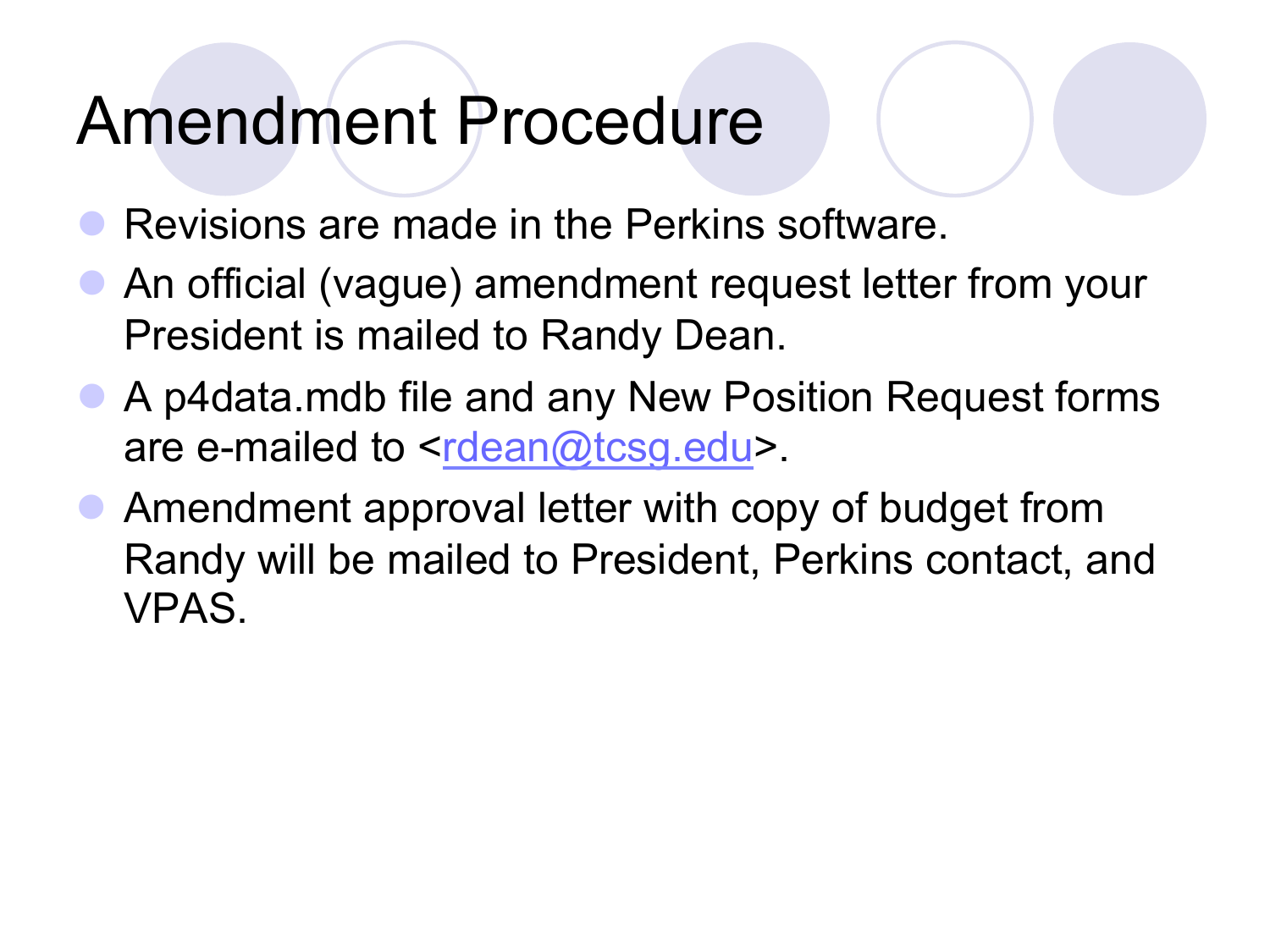#### Amendment Procedure

- Revisions are made in the Perkins software.
- An official (vague) amendment request letter from your President is mailed to Randy Dean.
- A p4data.mdb file and any New Position Request forms are e-mailed to  $\alpha$  rdean@tcsg.edu>.
- Amendment approval letter with copy of budget from Randy will be mailed to President, Perkins contact, and VPAS.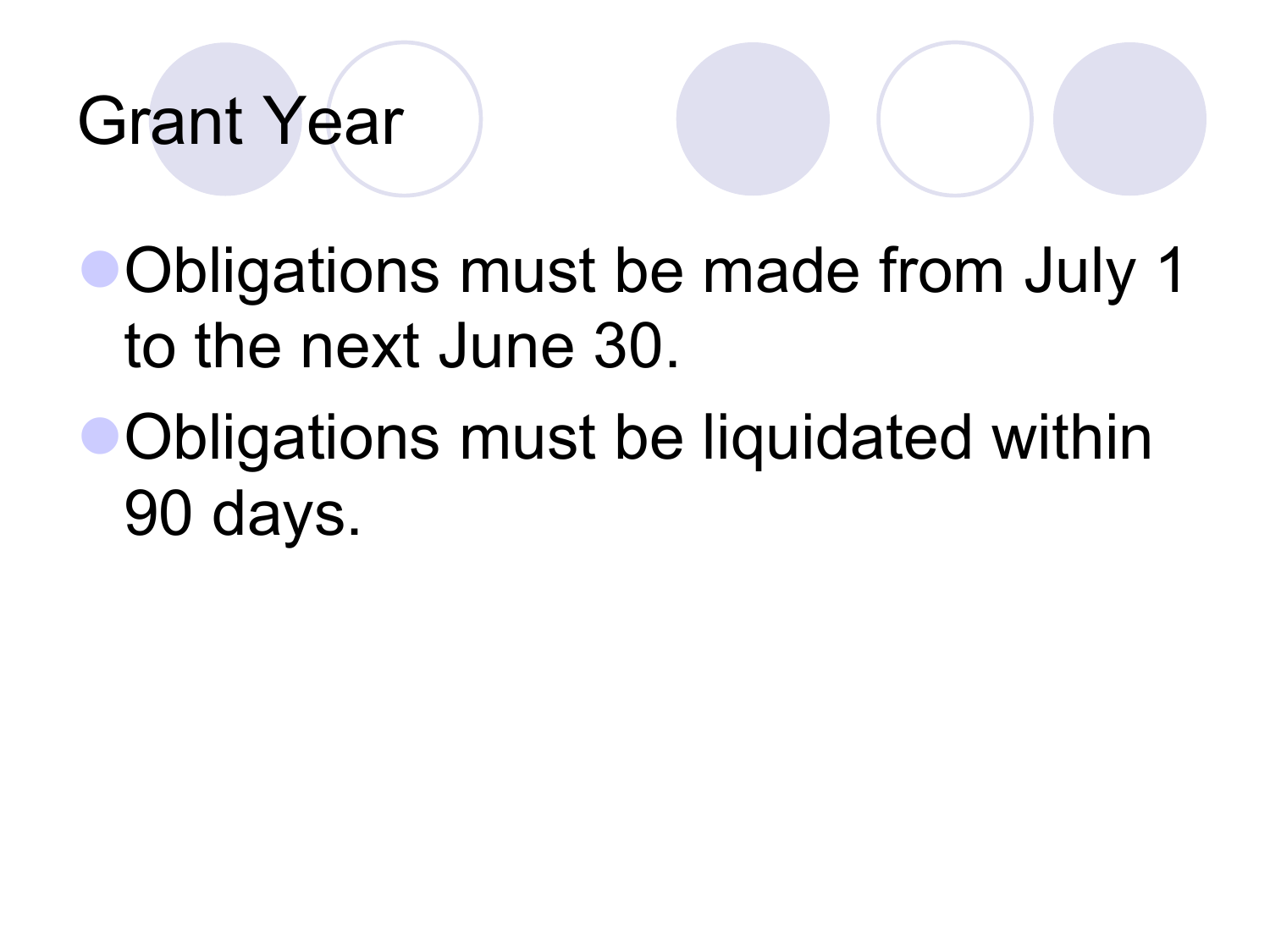# Grant Year

- **Obligations must be made from July 1** to the next June 30.
- **Obligations must be liquidated within** 90 days.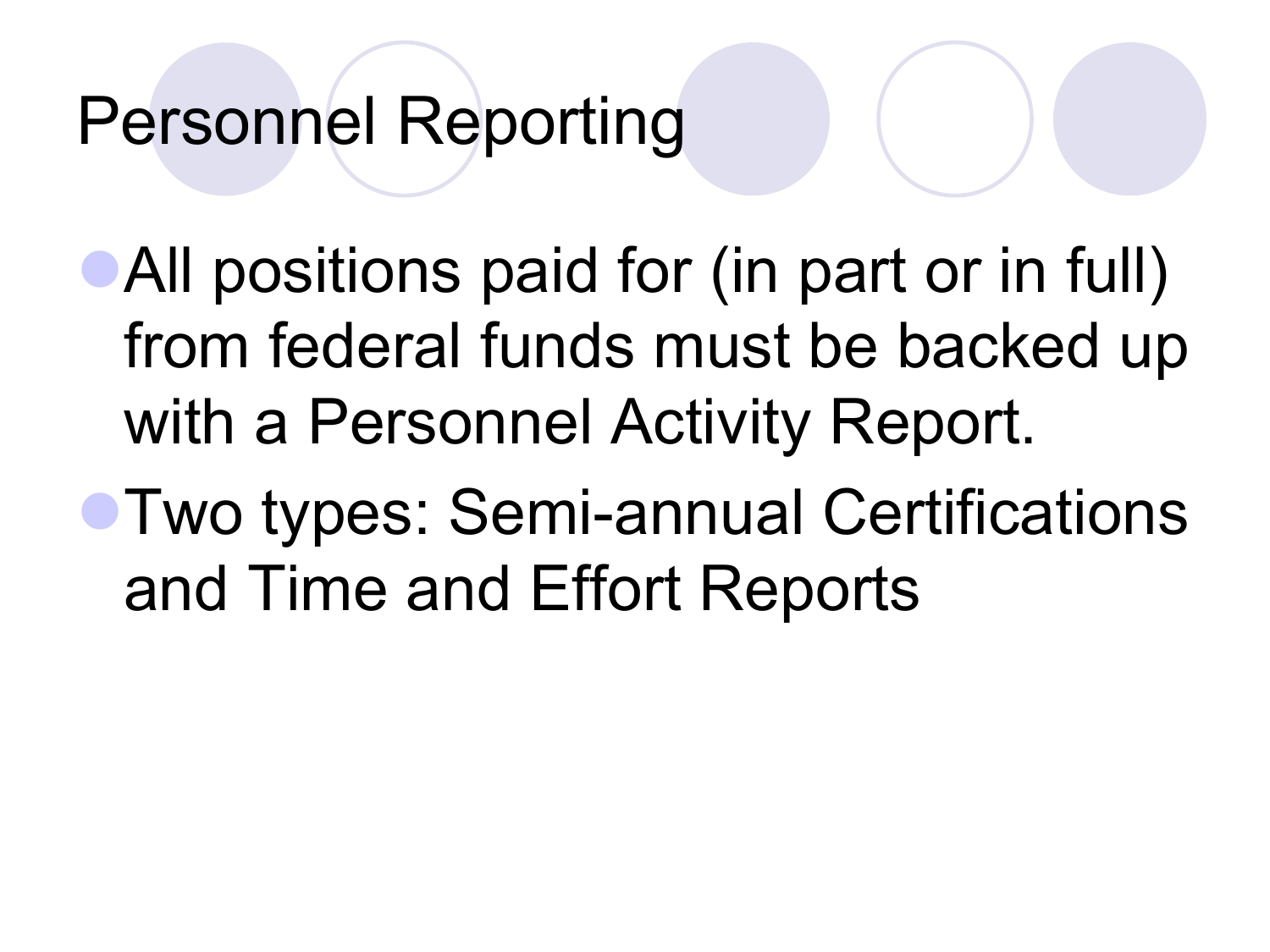## Personnel Reporting

• All positions paid for (in part or in full) from federal funds must be backed up with a Personnel Activity Report.

**• Two types: Semi-annual Certifications** and Time and Effort Reports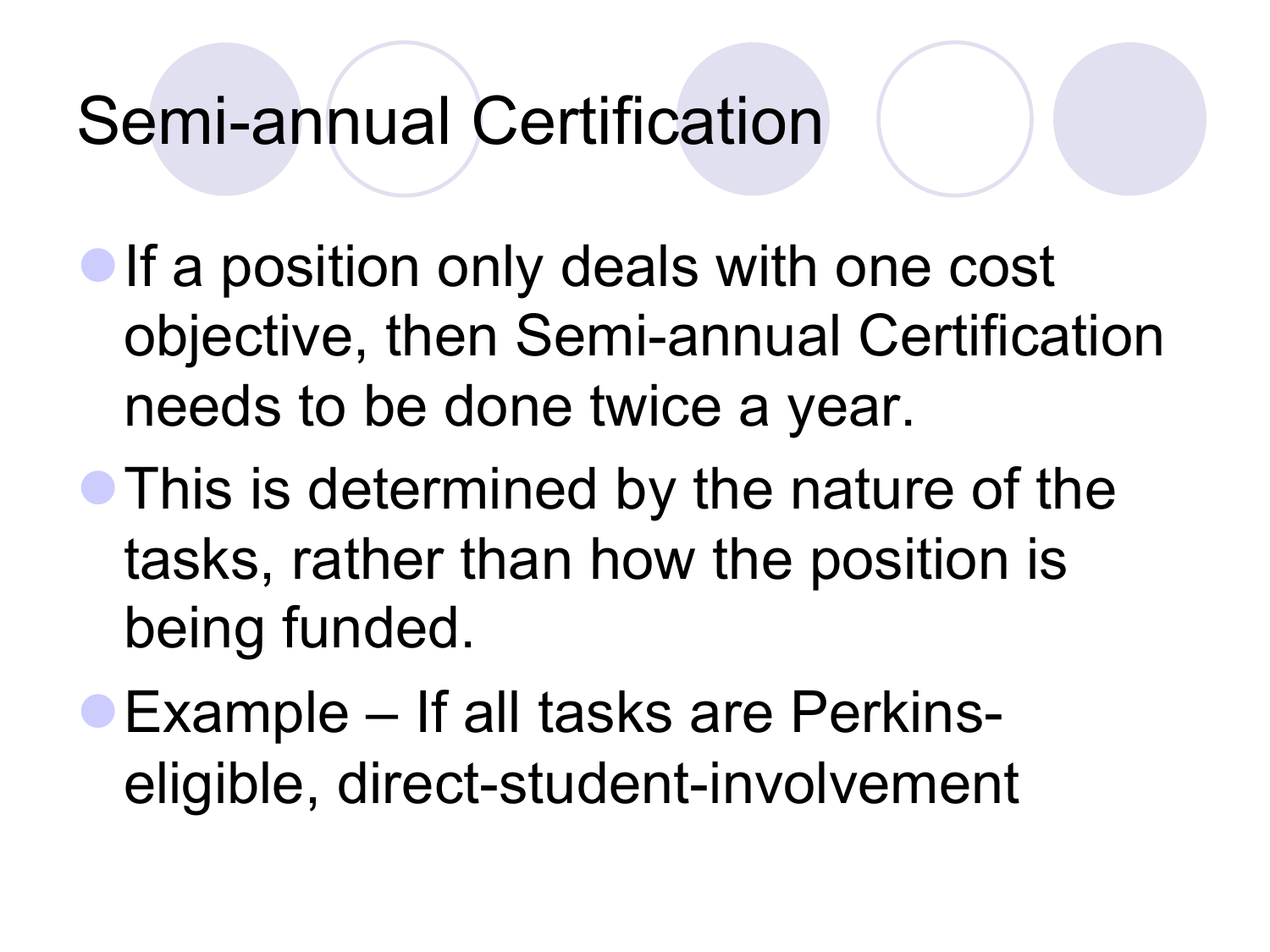## Semi-annual Certification

- If a position only deals with one cost objective, then Semi-annual Certification needs to be done twice a year.
- **This is determined by the nature of the** tasks, rather than how the position is being funded.
- **Example If all tasks are Perkins**eligible, direct-student-involvement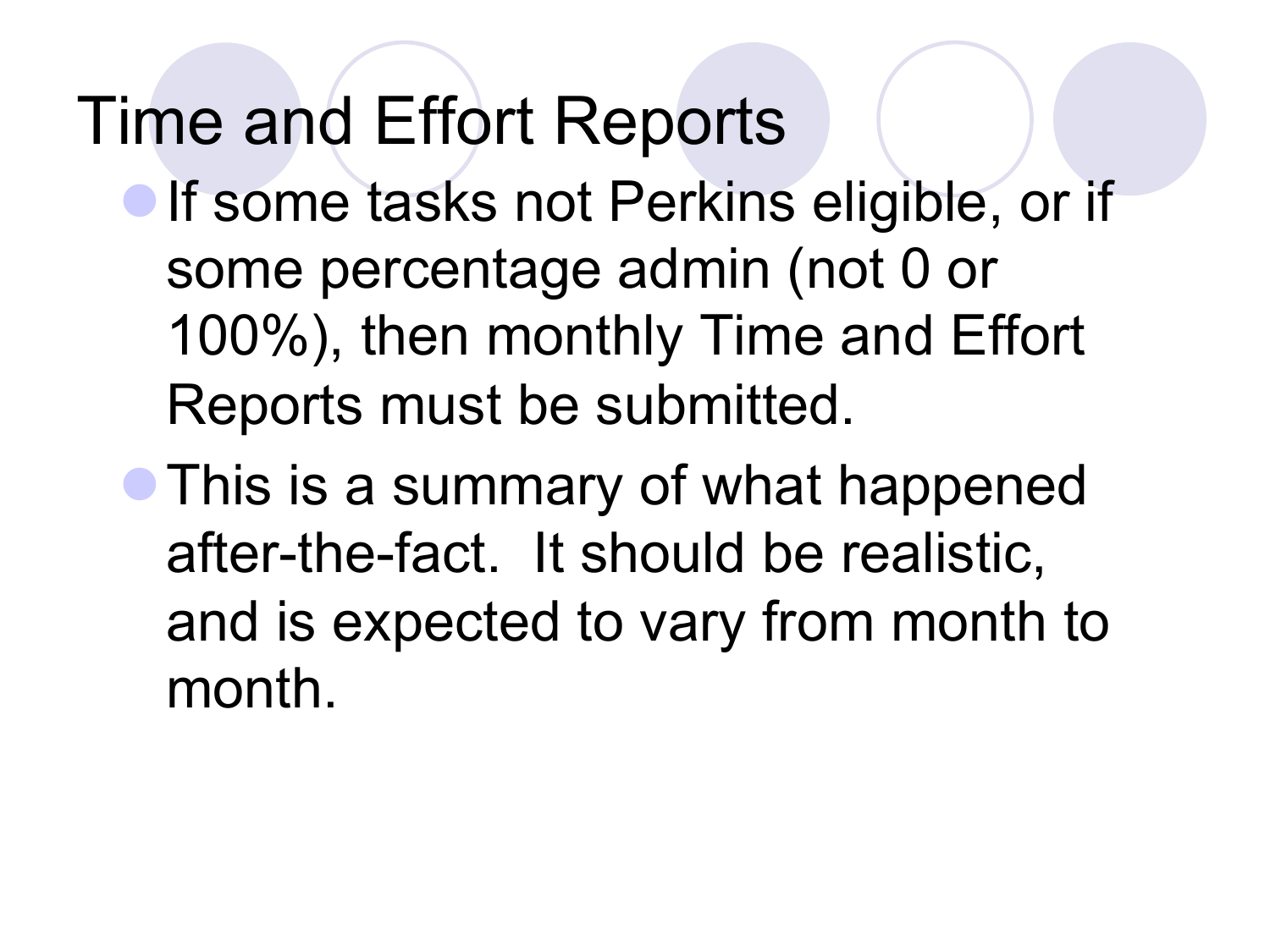#### Time and Effort Reports

- **If some tasks not Perkins eligible, or if** some percentage admin (not 0 or 100%), then monthly Time and Effort Reports must be submitted.
- **This is a summary of what happened** after-the-fact. It should be realistic, and is expected to vary from month to month.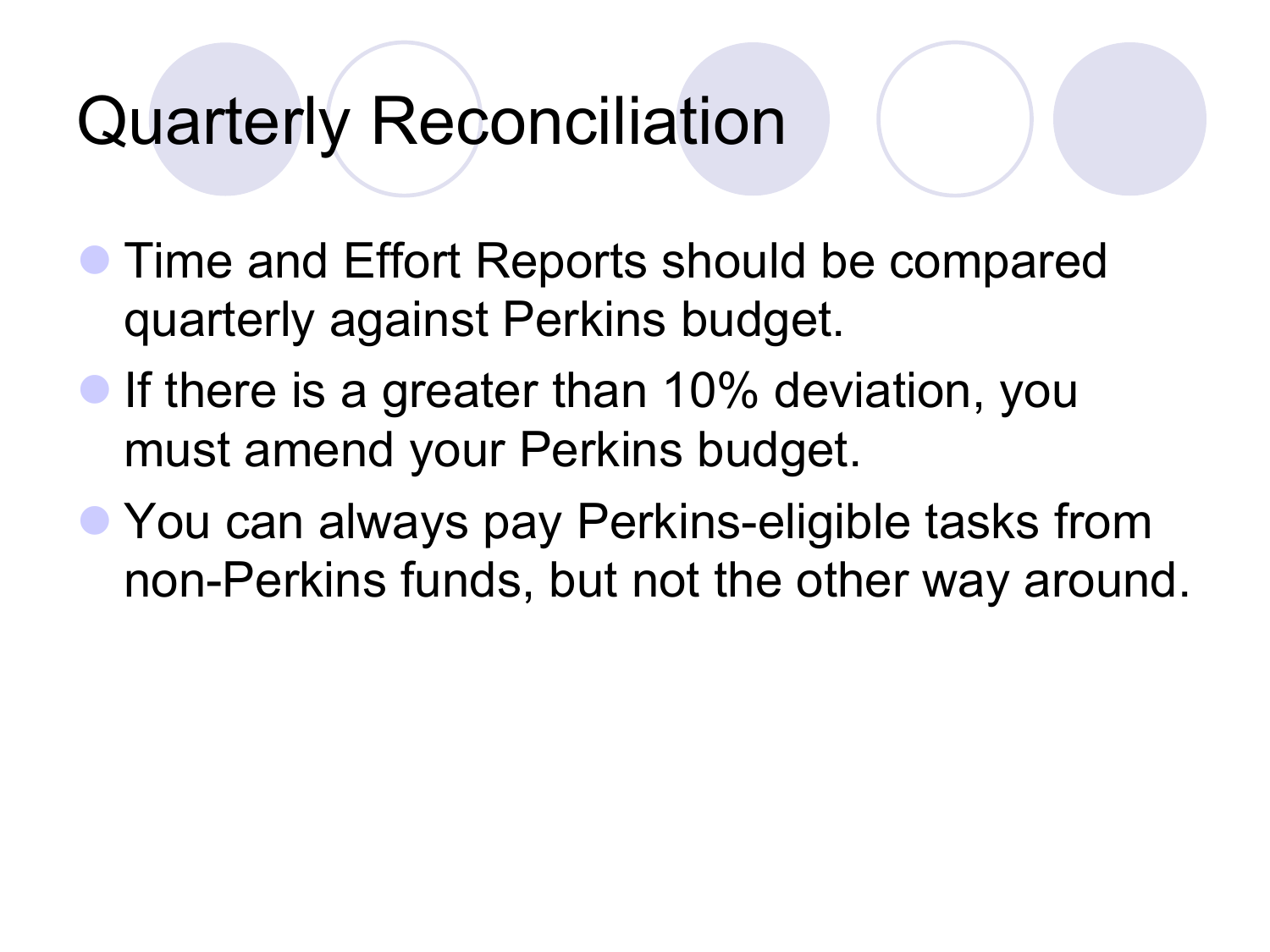## Quarterly Reconciliation

- Time and Effort Reports should be compared quarterly against Perkins budget.
- If there is a greater than 10% deviation, you must amend your Perkins budget.
- **You can always pay Perkins-eligible tasks from** non-Perkins funds, but not the other way around.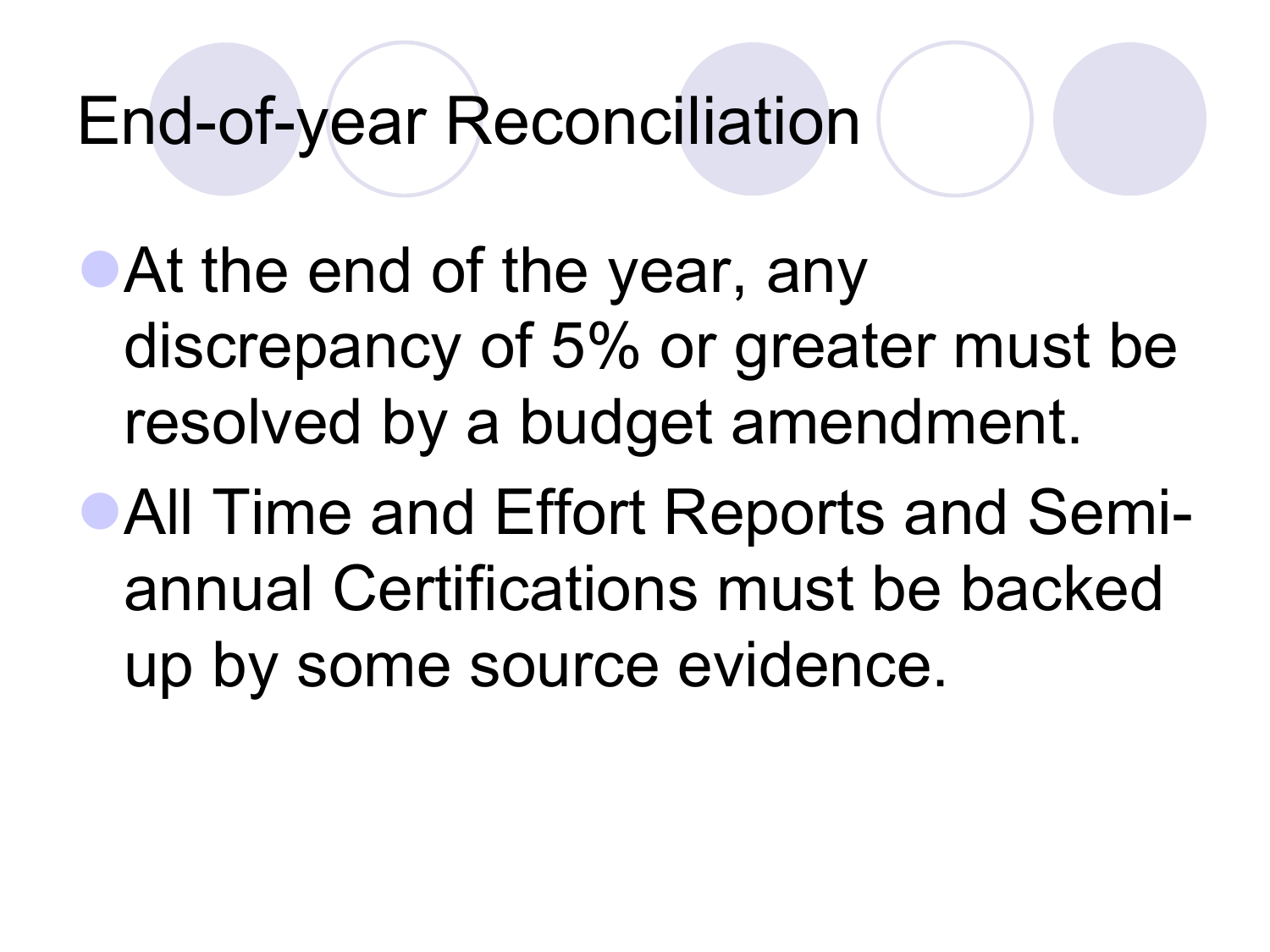#### End-of-year Reconciliation

- At the end of the year, any discrepancy of 5% or greater must be resolved by a budget amendment.
- **All Time and Effort Reports and Semi**annual Certifications must be backed up by some source evidence.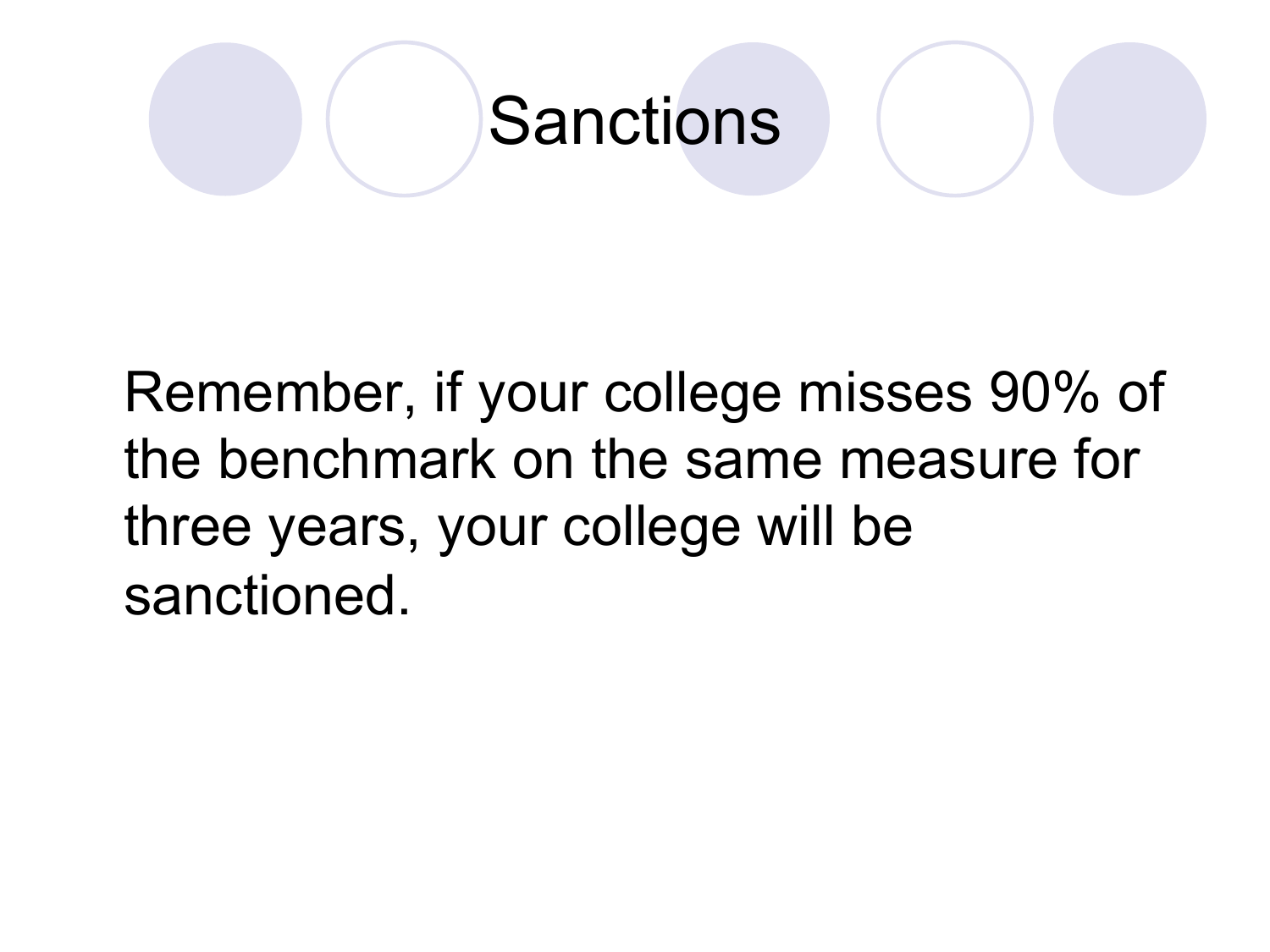

Remember, if your college misses 90% of the benchmark on the same measure for three years, your college will be sanctioned.